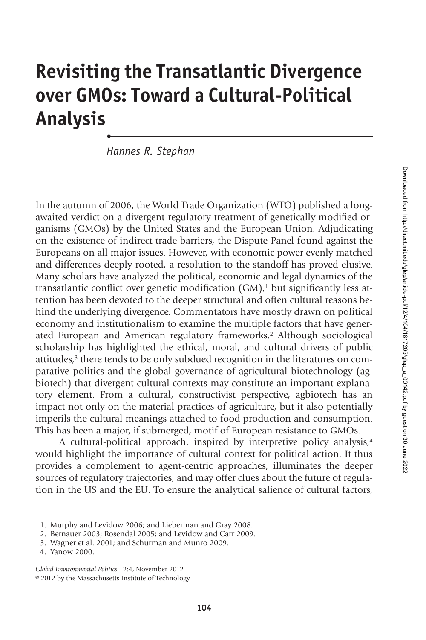# **Revisiting the Transatlantic Divergence over GMOs: Toward a Cultural-Political Analysis**

*Hannes R. Stephan*

•

In the autumn of 2006, the World Trade Organization (WTO) published a longawaited verdict on a divergent regulatory treatment of genetically modified organisms (GMOs) by the United States and the European Union. Adjudicating on the existence of indirect trade barriers, the Dispute Panel found against the Europeans on all major issues. However, with economic power evenly matched and differences deeply rooted, a resolution to the standoff has proved elusive. Many scholars have analyzed the political, economic and legal dynamics of the transatlantic conflict over genetic modification  $(GM)$ ,<sup>1</sup> but significantly less attention has been devoted to the deeper structural and often cultural reasons behind the underlying divergence. Commentators have mostly drawn on political economy and institutionalism to examine the multiple factors that have generated European and American regulatory frameworks.2 Although sociological scholarship has highlighted the ethical, moral, and cultural drivers of public attitudes,3 there tends to be only subdued recognition in the literatures on comparative politics and the global governance of agricultural biotechnology (agbiotech) that divergent cultural contexts may constitute an important explanatory element. From a cultural, constructivist perspective, agbiotech has an impact not only on the material practices of agriculture, but it also potentially imperils the cultural meanings attached to food production and consumption. This has been a major, if submerged, motif of European resistance to GMOs.

A cultural-political approach, inspired by interpretive policy analysis,<sup>4</sup> would highlight the importance of cultural context for political action. It thus provides a complement to agent-centric approaches, illuminates the deeper sources of regulatory trajectories, and may offer clues about the future of regulation in the US and the EU. To ensure the analytical salience of cultural factors,

*Global Environmental Politics* 12:4, November 2012 © 2012 by the Massachusetts Institute of Technology

<sup>1.</sup> Murphy and Levidow 2006; and Lieberman and Gray 2008.

<sup>2.</sup> Bernauer 2003; Rosendal 2005; and Levidow and Carr 2009.

<sup>3.</sup> Wagner et al. 2001; and Schurman and Munro 2009.

<sup>4.</sup> Yanow 2000.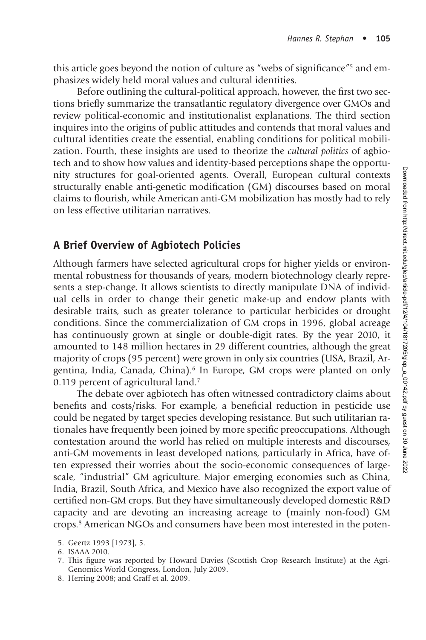this article goes beyond the notion of culture as "webs of significance"<sup>5</sup> and emphasizes widely held moral values and cultural identities.

Before outlining the cultural-political approach, however, the first two sections briefly summarize the transatlantic regulatory divergence over GMOs and review political-economic and institutionalist explanations. The third section inquires into the origins of public attitudes and contends that moral values and cultural identities create the essential, enabling conditions for political mobilization. Fourth, these insights are used to theorize the *cultural politics* of agbiotech and to show how values and identity-based perceptions shape the opportunity structures for goal-oriented agents. Overall, European cultural contexts structurally enable anti-genetic modification (GM) discourses based on moral claims to flourish, while American anti-GM mobilization has mostly had to rely on less effective utilitarian narratives.

# **A Brief Overview of Agbiotech Policies**

Although farmers have selected agricultural crops for higher yields or environmental robustness for thousands of years, modern biotechnology clearly represents a step-change. It allows scientists to directly manipulate DNA of individual cells in order to change their genetic make-up and endow plants with desirable traits, such as greater tolerance to particular herbicides or drought conditions. Since the commercialization of GM crops in 1996, global acreage has continuously grown at single or double-digit rates. By the year 2010, it amounted to 148 million hectares in 29 different countries, although the great majority of crops (95 percent) were grown in only six countries (USA, Brazil, Argentina, India, Canada, China).<sup>6</sup> In Europe, GM crops were planted on only 0.119 percent of agricultural land.7

The debate over agbiotech has often witnessed contradictory claims about benefits and costs/risks. For example, a beneficial reduction in pesticide use could be negated by target species developing resistance. But such utilitarian rationales have frequently been joined by more specific preoccupations. Although contestation around the world has relied on multiple interests and discourses, anti-GM movements in least developed nations, particularly in Africa, have often expressed their worries about the socio-economic consequences of largescale, "industrial" GM agriculture. Major emerging economies such as China, India, Brazil, South Africa, and Mexico have also recognized the export value of certified non-GM crops. But they have simultaneously developed domestic R&D capacity and are devoting an increasing acreage to (mainly non-food) GM crops.8 American NGOs and consumers have been most interested in the poten-

8. Herring 2008; and Graff et al. 2009.

<sup>5.</sup> Geertz 1993 [1973], 5.

<sup>6.</sup> ISAAA 2010.

<sup>7.</sup> This figure was reported by Howard Davies (Scottish Crop Research Institute) at the Agri-Genomics World Congress, London, July 2009.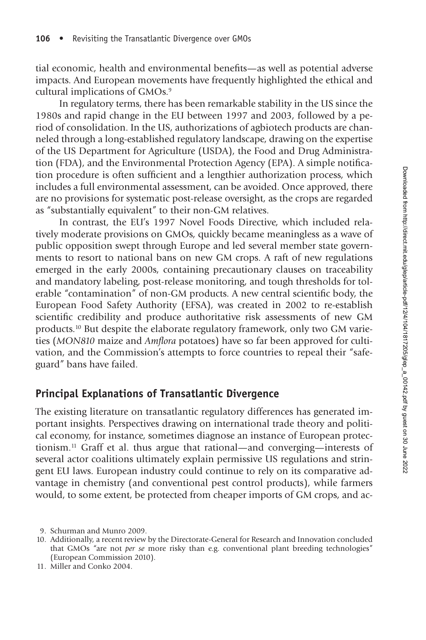tial economic, health and environmental benefits—as well as potential adverse impacts. And European movements have frequently highlighted the ethical and cultural implications of GMOs.9

In regulatory terms, there has been remarkable stability in the US since the 1980s and rapid change in the EU between 1997 and 2003, followed by a period of consolidation. In the US, authorizations of agbiotech products are channeled through a long-established regulatory landscape, drawing on the expertise of the US Department for Agriculture (USDA), the Food and Drug Administration (FDA), and the Environmental Protection Agency (EPA). A simple notification procedure is often sufficient and a lengthier authorization process, which includes a full environmental assessment, can be avoided. Once approved, there are no provisions for systematic post-release oversight, as the crops are regarded as "substantially equivalent" to their non-GM relatives.

In contrast, the EU's 1997 Novel Foods Directive, which included relatively moderate provisions on GMOs, quickly became meaningless as a wave of public opposition swept through Europe and led several member state governments to resort to national bans on new GM crops. A raft of new regulations emerged in the early 2000s, containing precautionary clauses on traceability and mandatory labeling, post-release monitoring, and tough thresholds for tolerable "contamination" of non-GM products. A new central scientific body, the European Food Safety Authority (EFSA), was created in 2002 to re-establish scientific credibility and produce authoritative risk assessments of new GM products.<sup>10</sup> But despite the elaborate regulatory framework, only two GM varieties (*MON810* maize and *Amflora* potatoes) have so far been approved for cultivation, and the Commission's attempts to force countries to repeal their "safeguard" bans have failed.

#### **Principal Explanations of Transatlantic Divergence**

The existing literature on transatlantic regulatory differences has generated important insights. Perspectives drawing on international trade theory and political economy, for instance, sometimes diagnose an instance of European protectionism.11 Graff et al. thus argue that rational—and converging—interests of several actor coalitions ultimately explain permissive US regulations and stringent EU laws. European industry could continue to rely on its comparative advantage in chemistry (and conventional pest control products), while farmers would, to some extent, be protected from cheaper imports of GM crops, and ac-

11. Miller and Conko 2004.

<sup>9.</sup> Schurman and Munro 2009.

<sup>10.</sup> Additionally, a recent review by the Directorate-General for Research and Innovation concluded that GMOs "are not *per se* more risky than e.g. conventional plant breeding technologies" (European Commission 2010).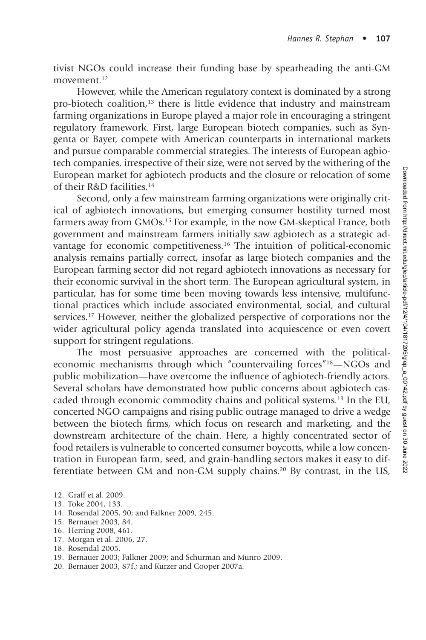tivist NGOs could increase their funding base by spearheading the anti-GM movement.<sup>12</sup>

However, while the American regulatory context is dominated by a strong pro-biotech coalition,<sup>13</sup> there is little evidence that industry and mainstream farming organizations in Europe played a major role in encouraging a stringent regulatory framework. First, large European biotech companies, such as Syngenta or Bayer, compete with American counterparts in international markets and pursue comparable commercial strategies. The interests of European agbiotech companies, irrespective of their size, were not served by the withering of the European market for agbiotech products and the closure or relocation of some of their R&D facilities.14

Second, only a few mainstream farming organizations were originally critical of agbiotech innovations, but emerging consumer hostility turned most farmers away from GMOs.<sup>15</sup> For example, in the now GM-skeptical France, both government and mainstream farmers initially saw agbiotech as a strategic advantage for economic competitiveness.16 The intuition of political-economic analysis remains partially correct, insofar as large biotech companies and the European farming sector did not regard agbiotech innovations as necessary for their economic survival in the short term. The European agricultural system, in particular, has for some time been moving towards less intensive, multifunctional practices which include associated environmental, social, and cultural services.<sup>17</sup> However, neither the globalized perspective of corporations nor the wider agricultural policy agenda translated into acquiescence or even covert support for stringent regulations.

The most persuasive approaches are concerned with the politicaleconomic mechanisms through which "countervailing forces"18—NGOs and public mobilization—have overcome the influence of agbiotech-friendly actors. Several scholars have demonstrated how public concerns about agbiotech cascaded through economic commodity chains and political systems.19 In the EU, concerted NGO campaigns and rising public outrage managed to drive a wedge between the biotech firms, which focus on research and marketing, and the downstream architecture of the chain. Here, a highly concentrated sector of food retailers is vulnerable to concerted consumer boycotts, while a low concentration in European farm, seed, and grain-handling sectors makes it easy to differentiate between GM and non-GM supply chains.20 By contrast, in the US,

- 16. Herring 2008, 461.
- 17. Morgan et al. 2006, 27.
- 18. Rosendal 2005.
- 19. Bernauer 2003; Falkner 2009; and Schurman and Munro 2009.
- 20. Bernauer 2003, 87f.; and Kurzer and Cooper 2007a.

<sup>12.</sup> Graff et al. 2009.

<sup>13.</sup> Toke 2004, 133.

<sup>14.</sup> Rosendal 2005, 90; and Falkner 2009, 245.

<sup>15.</sup> Bernauer 2003, 84.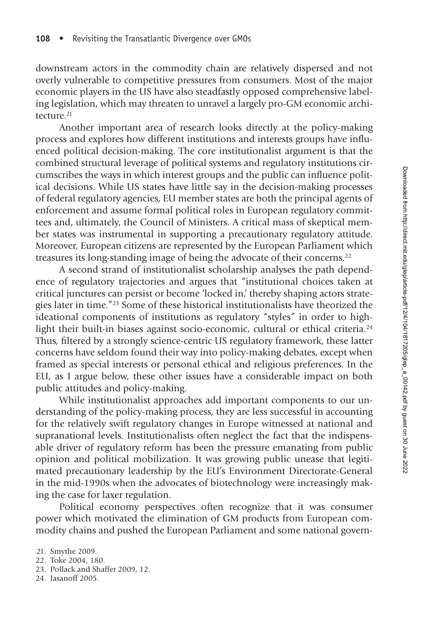downstream actors in the commodity chain are relatively dispersed and not overly vulnerable to competitive pressures from consumers. Most of the major economic players in the US have also steadfastly opposed comprehensive labeling legislation, which may threaten to unravel a largely pro-GM economic architecture<sup>21</sup>

Another important area of research looks directly at the policy-making process and explores how different institutions and interests groups have influenced political decision-making. The core institutionalist argument is that the combined structural leverage of political systems and regulatory institutions circumscribes the ways in which interest groups and the public can influence political decisions. While US states have little say in the decision-making processes of federal regulatory agencies, EU member states are both the principal agents of enforcement and assume formal political roles in European regulatory committees and, ultimately, the Council of Ministers. A critical mass of skeptical member states was instrumental in supporting a precautionary regulatory attitude. Moreover, European citizens are represented by the European Parliament which treasures its long-standing image of being the advocate of their concerns.<sup>22</sup>

A second strand of institutionalist scholarship analyses the path dependence of regulatory trajectories and argues that "institutional choices taken at critical junctures can persist or become 'locked in,' thereby shaping actors strategies later in time."23 Some of these historical institutionalists have theorized the ideational components of institutions as regulatory "styles" in order to highlight their built-in biases against socio-economic, cultural or ethical criteria.<sup>24</sup> Thus, filtered by a strongly science-centric US regulatory framework, these latter concerns have seldom found their way into policy-making debates, except when framed as special interests or personal ethical and religious preferences. In the EU, as I argue below, these other issues have a considerable impact on both public attitudes and policy-making.

While institutionalist approaches add important components to our understanding of the policy-making process, they are less successful in accounting for the relatively swift regulatory changes in Europe witnessed at national and supranational levels. Institutionalists often neglect the fact that the indispensable driver of regulatory reform has been the pressure emanating from public opinion and political mobilization. It was growing public unease that legitimated precautionary leadership by the EU's Environment Directorate-General in the mid-1990s when the advocates of biotechnology were increasingly making the case for laxer regulation.

Political economy perspectives often recognize that it was consumer power which motivated the elimination of GM products from European commodity chains and pushed the European Parliament and some national govern-

- 23. Pollack and Shaffer 2009, 12.
- 24. Jasanoff 2005.

<sup>21.</sup> Smythe 2009.

<sup>22.</sup> Toke 2004, 180.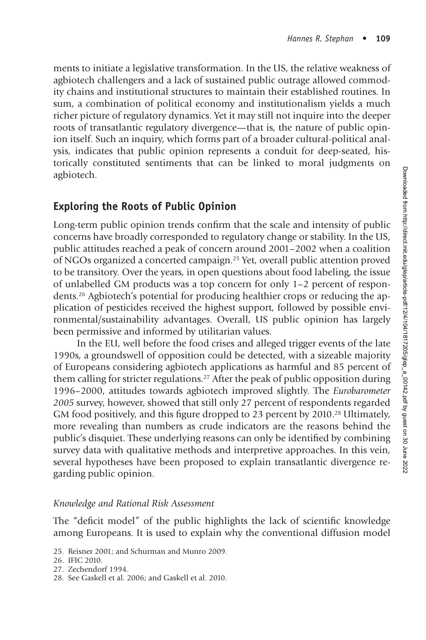ments to initiate a legislative transformation. In the US, the relative weakness of agbiotech challengers and a lack of sustained public outrage allowed commodity chains and institutional structures to maintain their established routines. In sum, a combination of political economy and institutionalism yields a much richer picture of regulatory dynamics. Yet it may still not inquire into the deeper roots of transatlantic regulatory divergence—that is, the nature of public opinion itself. Such an inquiry, which forms part of a broader cultural-political analysis, indicates that public opinion represents a conduit for deep-seated, historically constituted sentiments that can be linked to moral judgments on agbiotech.

# **Exploring the Roots of Public Opinion**

Long-term public opinion trends confirm that the scale and intensity of public concerns have broadly corresponded to regulatory change or stability. In the US, public attitudes reached a peak of concern around 2001–2002 when a coalition of NGOs organized a concerted campaign.25 Yet, overall public attention proved to be transitory. Over the years, in open questions about food labeling, the issue of unlabelled GM products was a top concern for only 1–2 percent of respondents.26 Agbiotech's potential for producing healthier crops or reducing the application of pesticides received the highest support, followed by possible environmental/sustainability advantages. Overall, US public opinion has largely been permissive and informed by utilitarian values.

In the EU, well before the food crises and alleged trigger events of the late 1990s, a groundswell of opposition could be detected, with a sizeable majority of Europeans considering agbiotech applications as harmful and 85 percent of them calling for stricter regulations.<sup>27</sup> After the peak of public opposition during 1996–2000, attitudes towards agbiotech improved slightly. The *Eurobarometer 2005* survey, however, showed that still only 27 percent of respondents regarded GM food positively, and this figure dropped to 23 percent by  $2010<sup>28</sup>$  Ultimately, more revealing than numbers as crude indicators are the reasons behind the public's disquiet. These underlying reasons can only be identified by combining survey data with qualitative methods and interpretive approaches. In this vein, several hypotheses have been proposed to explain transatlantic divergence regarding public opinion.

#### *Knowledge and Rational Risk Assessment*

The "deficit model" of the public highlights the lack of scientific knowledge among Europeans. It is used to explain why the conventional diffusion model

25. Reisner 2001; and Schurman and Munro 2009.

- 27. Zechendorf 1994.
- 28. See Gaskell et al. 2006; and Gaskell et al. 2010.

<sup>26.</sup> IFIC 2010.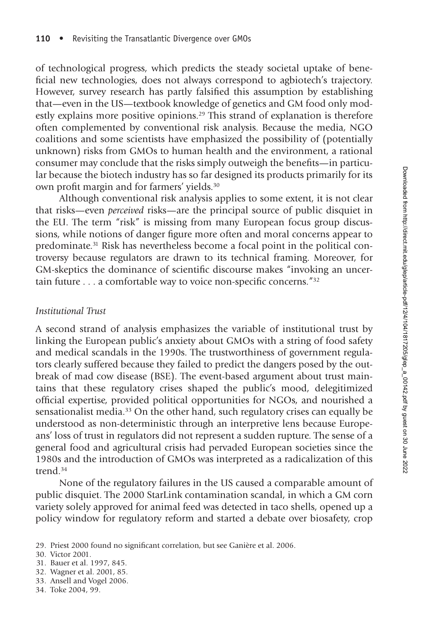of technological progress, which predicts the steady societal uptake of beneficial new technologies, does not always correspond to agbiotech's trajectory. However, survey research has partly falsified this assumption by establishing that—even in the US—textbook knowledge of genetics and GM food only modestly explains more positive opinions.<sup>29</sup> This strand of explanation is therefore often complemented by conventional risk analysis. Because the media, NGO coalitions and some scientists have emphasized the possibility of (potentially unknown) risks from GMOs to human health and the environment, a rational consumer may conclude that the risks simply outweigh the benefits—in particular because the biotech industry has so far designed its products primarily for its own profit margin and for farmers' yields.<sup>30</sup>

Although conventional risk analysis applies to some extent, it is not clear that risks—even *perceived* risks—are the principal source of public disquiet in the EU. The term "risk" is missing from many European focus group discussions, while notions of danger figure more often and moral concerns appear to predominate.31 Risk has nevertheless become a focal point in the political controversy because regulators are drawn to its technical framing. Moreover, for GM-skeptics the dominance of scientific discourse makes "invoking an uncertain future . . . a comfortable way to voice non-specific concerns." $32$ 

#### *Institutional Trust*

A second strand of analysis emphasizes the variable of institutional trust by linking the European public's anxiety about GMOs with a string of food safety and medical scandals in the 1990s. The trustworthiness of government regulators clearly suffered because they failed to predict the dangers posed by the outbreak of mad cow disease (BSE). The event-based argument about trust maintains that these regulatory crises shaped the public's mood, delegitimized official expertise, provided political opportunities for NGOs, and nourished a sensationalist media.<sup>33</sup> On the other hand, such regulatory crises can equally be understood as non-deterministic through an interpretive lens because Europeans' loss of trust in regulators did not represent a sudden rupture. The sense of a general food and agricultural crisis had pervaded European societies since the 1980s and the introduction of GMOs was interpreted as a radicalization of this trend.34

None of the regulatory failures in the US caused a comparable amount of public disquiet. The 2000 StarLink contamination scandal, in which a GM corn variety solely approved for animal feed was detected in taco shells, opened up a policy window for regulatory reform and started a debate over biosafety, crop

- 31. Bauer et al. 1997, 845.
- 32. Wagner et al. 2001, 85.
- 33. Ansell and Vogel 2006.
- 34. Toke 2004, 99.

<sup>29.</sup> Priest 2000 found no significant correlation, but see Ganière et al. 2006.

<sup>30.</sup> Victor 2001.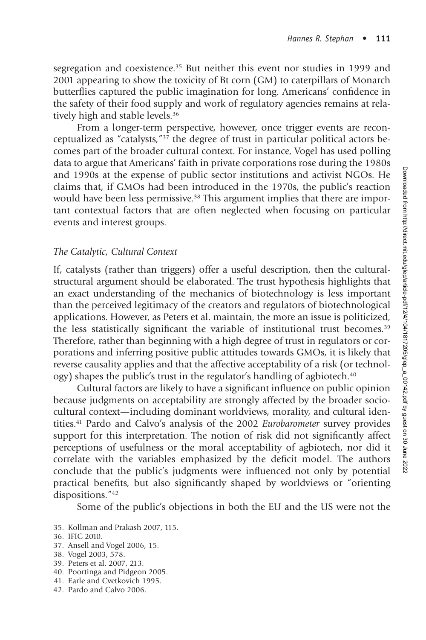segregation and coexistence.35 But neither this event nor studies in 1999 and 2001 appearing to show the toxicity of Bt corn (GM) to caterpillars of Monarch butterflies captured the public imagination for long. Americans' confidence in the safety of their food supply and work of regulatory agencies remains at relatively high and stable levels.36

From a longer-term perspective, however, once trigger events are reconceptualized as "catalysts,"37 the degree of trust in particular political actors becomes part of the broader cultural context. For instance, Vogel has used polling data to argue that Americans' faith in private corporations rose during the 1980s and 1990s at the expense of public sector institutions and activist NGOs. He claims that, if GMOs had been introduced in the 1970s, the public's reaction would have been less permissive.38 This argument implies that there are important contextual factors that are often neglected when focusing on particular events and interest groups.

#### *The Catalytic, Cultural Context*

If, catalysts (rather than triggers) offer a useful description, then the culturalstructural argument should be elaborated. The trust hypothesis highlights that an exact understanding of the mechanics of biotechnology is less important than the perceived legitimacy of the creators and regulators of biotechnological applications. However, as Peters et al. maintain, the more an issue is politicized, the less statistically significant the variable of institutional trust becomes.<sup>39</sup> Therefore, rather than beginning with a high degree of trust in regulators or corporations and inferring positive public attitudes towards GMOs, it is likely that reverse causality applies and that the affective acceptability of a risk (or technology) shapes the public's trust in the regulator's handling of agbiotech.<sup>40</sup>

Cultural factors are likely to have a significant influence on public opinion because judgments on acceptability are strongly affected by the broader sociocultural context—including dominant worldviews, morality, and cultural identities.41 Pardo and Calvo's analysis of the 2002 *Eurobarometer* survey provides support for this interpretation. The notion of risk did not significantly affect perceptions of usefulness or the moral acceptability of agbiotech, nor did it correlate with the variables emphasized by the deficit model. The authors conclude that the public's judgments were influenced not only by potential practical benefits, but also significantly shaped by worldviews or "orienting dispositions."<sup>42</sup>

Some of the public's objections in both the EU and the US were not the

35. Kollman and Prakash 2007, 115.

- 37. Ansell and Vogel 2006, 15.
- 38. Vogel 2003, 578.
- 39. Peters et al. 2007, 213.
- 40. Poortinga and Pidgeon 2005.
- 41. Earle and Cvetkovich 1995.
- 42. Pardo and Calvo 2006.

<sup>36.</sup> IFIC 2010.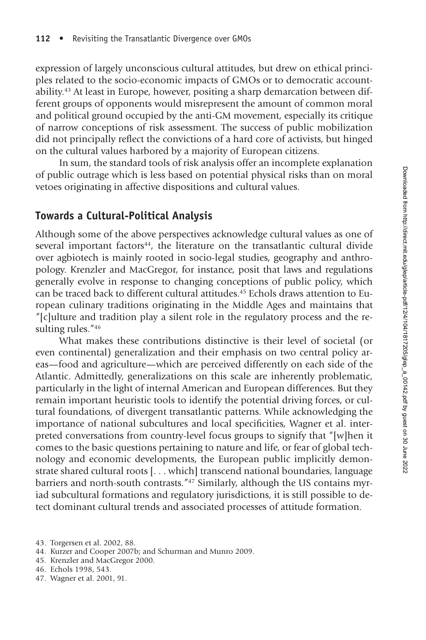expression of largely unconscious cultural attitudes, but drew on ethical principles related to the socio-economic impacts of GMOs or to democratic accountability.43 At least in Europe, however, positing a sharp demarcation between different groups of opponents would misrepresent the amount of common moral and political ground occupied by the anti-GM movement, especially its critique of narrow conceptions of risk assessment. The success of public mobilization did not principally reflect the convictions of a hard core of activists, but hinged on the cultural values harbored by a majority of European citizens.

In sum, the standard tools of risk analysis offer an incomplete explanation of public outrage which is less based on potential physical risks than on moral vetoes originating in affective dispositions and cultural values.

# **Towards a Cultural-Political Analysis**

Although some of the above perspectives acknowledge cultural values as one of several important factors<sup>44</sup>, the literature on the transatlantic cultural divide over agbiotech is mainly rooted in socio-legal studies, geography and anthropology. Krenzler and MacGregor, for instance, posit that laws and regulations generally evolve in response to changing conceptions of public policy, which can be traced back to different cultural attitudes.<sup>45</sup> Echols draws attention to European culinary traditions originating in the Middle Ages and maintains that "[c]ulture and tradition play a silent role in the regulatory process and the resulting rules.<sup>"46</sup>

What makes these contributions distinctive is their level of societal (or even continental) generalization and their emphasis on two central policy areas—food and agriculture—which are perceived differently on each side of the Atlantic. Admittedly, generalizations on this scale are inherently problematic, particularly in the light of internal American and European differences. But they remain important heuristic tools to identify the potential driving forces, or cultural foundations, of divergent transatlantic patterns. While acknowledging the importance of national subcultures and local specificities, Wagner et al. interpreted conversations from country-level focus groups to signify that "[w]hen it comes to the basic questions pertaining to nature and life, or fear of global technology and economic developments, the European public implicitly demonstrate shared cultural roots [. . . which] transcend national boundaries, language barriers and north-south contrasts.<sup>"47</sup> Similarly, although the US contains myriad subcultural formations and regulatory jurisdictions, it is still possible to detect dominant cultural trends and associated processes of attitude formation.

- 44. Kurzer and Cooper 2007b; and Schurman and Munro 2009.
- 45. Krenzler and MacGregor 2000.
- 46. Echols 1998, 543.
- 47. Wagner et al. 2001, 91.

<sup>43.</sup> Torgersen et al. 2002, 88.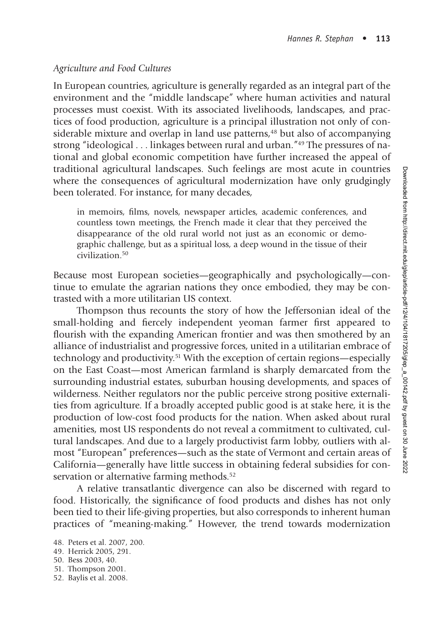#### *Agriculture and Food Cultures*

In European countries, agriculture is generally regarded as an integral part of the environment and the "middle landscape" where human activities and natural processes must coexist. With its associated livelihoods, landscapes, and practices of food production, agriculture is a principal illustration not only of considerable mixture and overlap in land use patterns, $48$  but also of accompanying strong "ideological... linkages between rural and urban."49 The pressures of national and global economic competition have further increased the appeal of traditional agricultural landscapes. Such feelings are most acute in countries where the consequences of agricultural modernization have only grudgingly been tolerated. For instance, for many decades,

in memoirs, films, novels, newspaper articles, academic conferences, and countless town meetings, the French made it clear that they perceived the disappearance of the old rural world not just as an economic or demographic challenge, but as a spiritual loss, a deep wound in the tissue of their civilization.50

Because most European societies—geographically and psychologically—continue to emulate the agrarian nations they once embodied, they may be contrasted with a more utilitarian US context.

Thompson thus recounts the story of how the Jeffersonian ideal of the small-holding and fiercely independent yeoman farmer first appeared to flourish with the expanding American frontier and was then smothered by an alliance of industrialist and progressive forces, united in a utilitarian embrace of technology and productivity.<sup>51</sup> With the exception of certain regions—especially on the East Coast—most American farmland is sharply demarcated from the surrounding industrial estates, suburban housing developments, and spaces of wilderness. Neither regulators nor the public perceive strong positive externalities from agriculture. If a broadly accepted public good is at stake here, it is the production of low-cost food products for the nation. When asked about rural amenities, most US respondents do not reveal a commitment to cultivated, cultural landscapes. And due to a largely productivist farm lobby, outliers with almost "European" preferences—such as the state of Vermont and certain areas of California—generally have little success in obtaining federal subsidies for conservation or alternative farming methods.<sup>52</sup>

A relative transatlantic divergence can also be discerned with regard to food. Historically, the significance of food products and dishes has not only been tied to their life-giving properties, but also corresponds to inherent human practices of "meaning-making." However, the trend towards modernization

52. Baylis et al. 2008.

<sup>48.</sup> Peters et al. 2007, 200.

<sup>49.</sup> Herrick 2005, 291.

<sup>50.</sup> Bess 2003, 40.

<sup>51.</sup> Thompson 2001.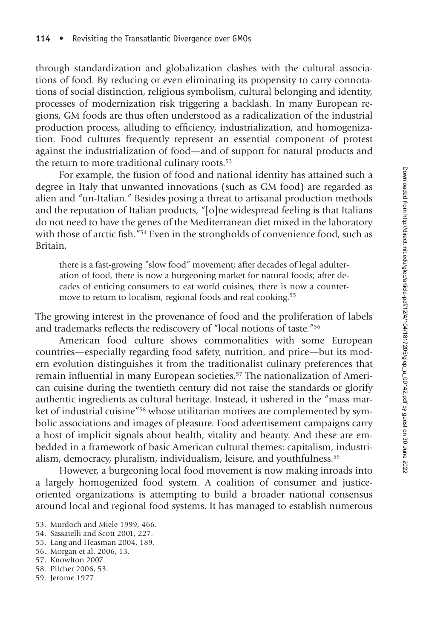through standardization and globalization clashes with the cultural associations of food. By reducing or even eliminating its propensity to carry connotations of social distinction, religious symbolism, cultural belonging and identity, processes of modernization risk triggering a backlash. In many European regions, GM foods are thus often understood as a radicalization of the industrial production process, alluding to efficiency, industrialization, and homogenization. Food cultures frequently represent an essential component of protest against the industrialization of food—and of support for natural products and the return to more traditional culinary roots.<sup>53</sup>

For example, the fusion of food and national identity has attained such a degree in Italy that unwanted innovations (such as GM food) are regarded as alien and "un-Italian." Besides posing a threat to artisanal production methods and the reputation of Italian products, "[o]ne widespread feeling is that Italians do not need to have the genes of the Mediterranean diet mixed in the laboratory with those of arctic fish."<sup>54</sup> Even in the strongholds of convenience food, such as Britain,

there is a fast-growing "slow food" movement; after decades of legal adulteration of food, there is now a burgeoning market for natural foods; after decades of enticing consumers to eat world cuisines, there is now a countermove to return to localism, regional foods and real cooking.<sup>55</sup>

The growing interest in the provenance of food and the proliferation of labels and trademarks reflects the rediscovery of "local notions of taste."<sup>56</sup>

American food culture shows commonalities with some European countries—especially regarding food safety, nutrition, and price—but its modern evolution distinguishes it from the traditionalist culinary preferences that remain influential in many European societies.<sup>57</sup> The nationalization of American cuisine during the twentieth century did not raise the standards or glorify authentic ingredients as cultural heritage. Instead, it ushered in the "mass market of industrial cuisine<sup>"58</sup> whose utilitarian motives are complemented by symbolic associations and images of pleasure. Food advertisement campaigns carry a host of implicit signals about health, vitality and beauty. And these are embedded in a framework of basic American cultural themes: capitalism, industrialism, democracy, pluralism, individualism, leisure, and youthfulness.59

However, a burgeoning local food movement is now making inroads into a largely homogenized food system. A coalition of consumer and justiceoriented organizations is attempting to build a broader national consensus around local and regional food systems. It has managed to establish numerous

- 54. Sassatelli and Scott 2001, 227.
- 55. Lang and Heasman 2004, 189.
- 56. Morgan et al. 2006, 13.
- 57. Knowlton 2007.
- 58. Pilcher 2006, 53.
- 59. Jerome 1977.

<sup>53.</sup> Murdoch and Miele 1999, 466.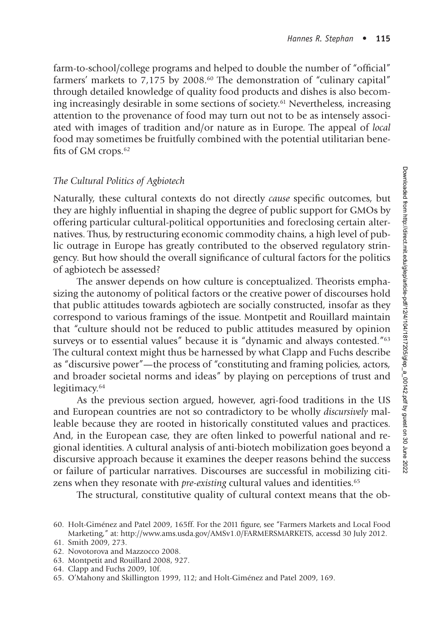farm-to-school/college programs and helped to double the number of "official" farmers' markets to 7,175 by 2008.<sup>60</sup> The demonstration of "culinary capital" through detailed knowledge of quality food products and dishes is also becoming increasingly desirable in some sections of society.61 Nevertheless, increasing attention to the provenance of food may turn out not to be as intensely associated with images of tradition and/or nature as in Europe. The appeal of *local* food may sometimes be fruitfully combined with the potential utilitarian benefits of GM crops.<sup>62</sup>

### *The Cultural Politics of Agbiotech*

Naturally, these cultural contexts do not directly *cause* specific outcomes, but they are highly influential in shaping the degree of public support for GMOs by offering particular cultural-political opportunities and foreclosing certain alternatives. Thus, by restructuring economic commodity chains, a high level of public outrage in Europe has greatly contributed to the observed regulatory stringency. But how should the overall significance of cultural factors for the politics of agbiotech be assessed?

The answer depends on how culture is conceptualized. Theorists emphasizing the autonomy of political factors or the creative power of discourses hold that public attitudes towards agbiotech are socially constructed, insofar as they correspond to various framings of the issue. Montpetit and Rouillard maintain that "culture should not be reduced to public attitudes measured by opinion surveys or to essential values" because it is "dynamic and always contested."63 The cultural context might thus be harnessed by what Clapp and Fuchs describe as "discursive power"—the process of "constituting and framing policies, actors, and broader societal norms and ideas" by playing on perceptions of trust and legitimacy.<sup>64</sup>

As the previous section argued, however, agri-food traditions in the US and European countries are not so contradictory to be wholly *discursively* malleable because they are rooted in historically constituted values and practices. And, in the European case, they are often linked to powerful national and regional identities. A cultural analysis of anti-biotech mobilization goes beyond a discursive approach because it examines the deeper reasons behind the success or failure of particular narratives. Discourses are successful in mobilizing citizens when they resonate with *pre-existing* cultural values and identities.<sup>65</sup>

The structural, constitutive quality of cultural context means that the ob-

<sup>60.</sup> Holt-Giménez and Patel 2009, 165ff. For the 2011 figure, see "Farmers Markets and Local Food Marketing," at: http://www.ams.usda.gov/AMSv1.0/FARMERSMARKETS, accessd 30 July 2012.

<sup>61.</sup> Smith 2009, 273.

<sup>62.</sup> Novotorova and Mazzocco 2008.

<sup>63.</sup> Montpetit and Rouillard 2008, 927.

<sup>64.</sup> Clapp and Fuchs 2009, 10f.

<sup>65.</sup> O'Mahony and Skillington 1999, 112; and Holt-Giménez and Patel 2009, 169.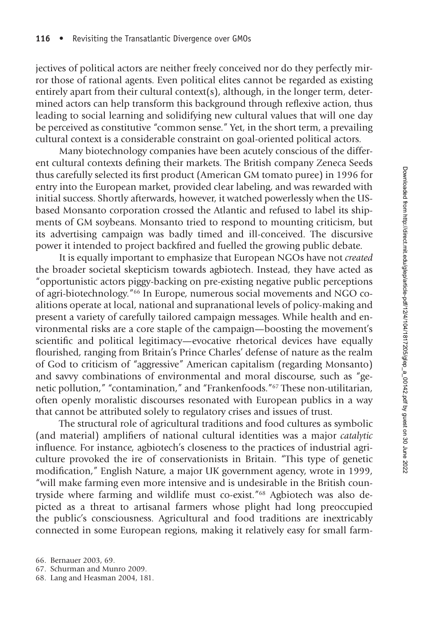jectives of political actors are neither freely conceived nor do they perfectly mirror those of rational agents. Even political elites cannot be regarded as existing entirely apart from their cultural context(s), although, in the longer term, determined actors can help transform this background through reflexive action, thus leading to social learning and solidifying new cultural values that will one day be perceived as constitutive "common sense." Yet, in the short term, a prevailing cultural context is a considerable constraint on goal-oriented political actors.

Many biotechnology companies have been acutely conscious of the different cultural contexts defining their markets. The British company Zeneca Seeds thus carefully selected its first product (American GM tomato puree) in 1996 for entry into the European market, provided clear labeling, and was rewarded with initial success. Shortly afterwards, however, it watched powerlessly when the USbased Monsanto corporation crossed the Atlantic and refused to label its shipments of GM soybeans. Monsanto tried to respond to mounting criticism, but its advertising campaign was badly timed and ill-conceived. The discursive power it intended to project backfired and fuelled the growing public debate.

It is equally important to emphasize that European NGOs have not *created* the broader societal skepticism towards agbiotech. Instead, they have acted as "opportunistic actors piggy-backing on pre-existing negative public perceptions of agri-biotechnology."66 In Europe, numerous social movements and NGO coalitions operate at local, national and supranational levels of policy-making and present a variety of carefully tailored campaign messages. While health and environmental risks are a core staple of the campaign—boosting the movement's scientific and political legitimacy—evocative rhetorical devices have equally flourished, ranging from Britain's Prince Charles' defense of nature as the realm of God to criticism of "aggressive" American capitalism (regarding Monsanto) and savvy combinations of environmental and moral discourse, such as "genetic pollution," "contamination," and "Frankenfoods."67 These non-utilitarian, often openly moralistic discourses resonated with European publics in a way that cannot be attributed solely to regulatory crises and issues of trust.

The structural role of agricultural traditions and food cultures as symbolic (and material) amplifiers of national cultural identities was a major *catalytic* influence. For instance, agbiotech's closeness to the practices of industrial agriculture provoked the ire of conservationists in Britain. "This type of genetic modification," English Nature, a major UK government agency, wrote in 1999, "will make farming even more intensive and is undesirable in the British countryside where farming and wildlife must co-exist."68 Agbiotech was also depicted as a threat to artisanal farmers whose plight had long preoccupied the public's consciousness. Agricultural and food traditions are inextricably connected in some European regions, making it relatively easy for small farm-

<sup>66.</sup> Bernauer 2003, 69.

<sup>67.</sup> Schurman and Munro 2009.

<sup>68.</sup> Lang and Heasman 2004, 181.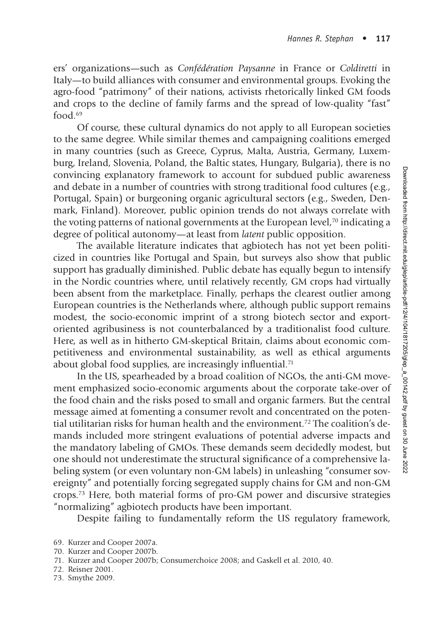ers' organizations—such as *Confédération Paysanne* in France or *Coldiretti* in Italy—to build alliances with consumer and environmental groups. Evoking the agro-food "patrimony" of their nations, activists rhetorically linked GM foods and crops to the decline of family farms and the spread of low-quality "fast" food  $69$ 

Of course, these cultural dynamics do not apply to all European societies to the same degree. While similar themes and campaigning coalitions emerged in many countries (such as Greece, Cyprus, Malta, Austria, Germany, Luxemburg, Ireland, Slovenia, Poland, the Baltic states, Hungary, Bulgaria), there is no convincing explanatory framework to account for subdued public awareness and debate in a number of countries with strong traditional food cultures (e.g., Portugal, Spain) or burgeoning organic agricultural sectors (e.g., Sweden, Denmark, Finland). Moreover, public opinion trends do not always correlate with the voting patterns of national governments at the European level, $70$  indicating a degree of political autonomy—at least from *latent* public opposition.

The available literature indicates that agbiotech has not yet been politicized in countries like Portugal and Spain, but surveys also show that public support has gradually diminished. Public debate has equally begun to intensify in the Nordic countries where, until relatively recently, GM crops had virtually been absent from the marketplace. Finally, perhaps the clearest outlier among European countries is the Netherlands where, although public support remains modest, the socio-economic imprint of a strong biotech sector and exportoriented agribusiness is not counterbalanced by a traditionalist food culture. Here, as well as in hitherto GM-skeptical Britain, claims about economic competitiveness and environmental sustainability, as well as ethical arguments about global food supplies, are increasingly influential.<sup>71</sup>

In the US, spearheaded by a broad coalition of NGOs, the anti-GM movement emphasized socio-economic arguments about the corporate take-over of the food chain and the risks posed to small and organic farmers. But the central message aimed at fomenting a consumer revolt and concentrated on the potential utilitarian risks for human health and the environment.72 The coalition's demands included more stringent evaluations of potential adverse impacts and the mandatory labeling of GMOs. These demands seem decidedly modest, but one should not underestimate the structural significance of a comprehensive labeling system (or even voluntary non-GM labels) in unleashing "consumer sovereignty" and potentially forcing segregated supply chains for GM and non-GM crops.73 Here, both material forms of pro-GM power and discursive strategies "normalizing" agbiotech products have been important.

Despite failing to fundamentally reform the US regulatory framework,

<sup>69.</sup> Kurzer and Cooper 2007a.

<sup>70.</sup> Kurzer and Cooper 2007b.

<sup>71.</sup> Kurzer and Cooper 2007b; Consumerchoice 2008; and Gaskell et al. 2010, 40.

<sup>72.</sup> Reisner 2001.

<sup>73.</sup> Smythe 2009.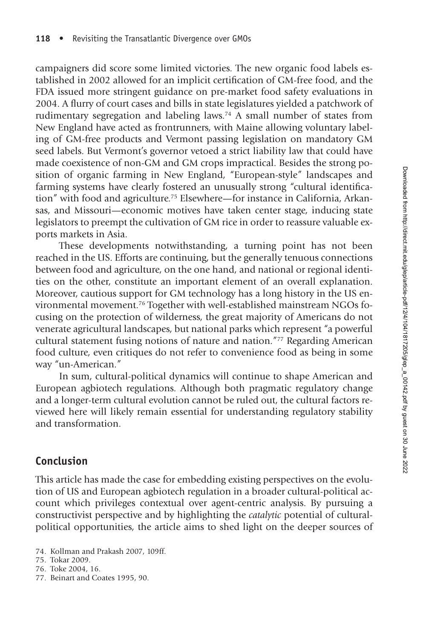campaigners did score some limited victories. The new organic food labels established in 2002 allowed for an implicit certification of GM-free food, and the FDA issued more stringent guidance on pre-market food safety evaluations in 2004. A flurry of court cases and bills in state legislatures yielded a patchwork of rudimentary segregation and labeling laws.74 A small number of states from New England have acted as frontrunners, with Maine allowing voluntary labeling of GM-free products and Vermont passing legislation on mandatory GM seed labels. But Vermont's governor vetoed a strict liability law that could have made coexistence of non-GM and GM crops impractical. Besides the strong position of organic farming in New England, "European-style" landscapes and farming systems have clearly fostered an unusually strong "cultural identification" with food and agriculture.75 Elsewhere—for instance in California, Arkansas, and Missouri—economic motives have taken center stage, inducing state legislators to preempt the cultivation of GM rice in order to reassure valuable exports markets in Asia.

These developments notwithstanding, a turning point has not been reached in the US. Efforts are continuing, but the generally tenuous connections between food and agriculture, on the one hand, and national or regional identities on the other, constitute an important element of an overall explanation. Moreover, cautious support for GM technology has a long history in the US environmental movement.76 Together with well-established mainstream NGOs focusing on the protection of wilderness, the great majority of Americans do not venerate agricultural landscapes, but national parks which represent "a powerful cultural statement fusing notions of nature and nation."77 Regarding American food culture, even critiques do not refer to convenience food as being in some way "un-American."

In sum, cultural-political dynamics will continue to shape American and European agbiotech regulations. Although both pragmatic regulatory change and a longer-term cultural evolution cannot be ruled out, the cultural factors reviewed here will likely remain essential for understanding regulatory stability and transformation.

# **Conclusion**

This article has made the case for embedding existing perspectives on the evolution of US and European agbiotech regulation in a broader cultural-political account which privileges contextual over agent-centric analysis. By pursuing a constructivist perspective and by highlighting the *catalytic* potential of culturalpolitical opportunities, the article aims to shed light on the deeper sources of

- 76. Toke 2004, 16.
- 77. Beinart and Coates 1995, 90.

<sup>74.</sup> Kollman and Prakash 2007, 109ff.

<sup>75.</sup> Tokar 2009.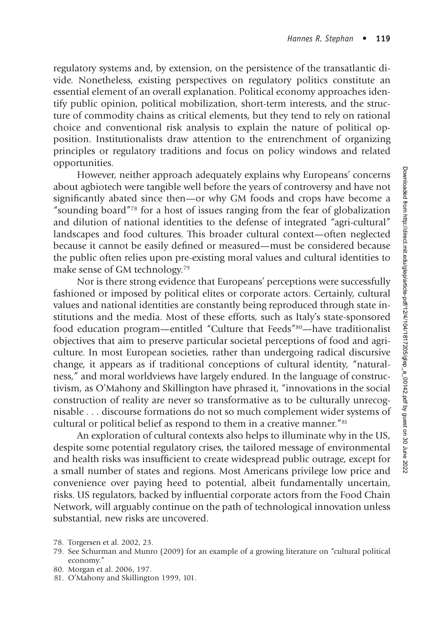regulatory systems and, by extension, on the persistence of the transatlantic divide. Nonetheless, existing perspectives on regulatory politics constitute an essential element of an overall explanation. Political economy approaches identify public opinion, political mobilization, short-term interests, and the structure of commodity chains as critical elements, but they tend to rely on rational choice and conventional risk analysis to explain the nature of political opposition. Institutionalists draw attention to the entrenchment of organizing principles or regulatory traditions and focus on policy windows and related opportunities.

However, neither approach adequately explains why Europeans' concerns about agbiotech were tangible well before the years of controversy and have not significantly abated since then—or why GM foods and crops have become a "sounding board"78 for a host of issues ranging from the fear of globalization and dilution of national identities to the defense of integrated "agri-cultural" landscapes and food cultures. This broader cultural context—often neglected because it cannot be easily defined or measured—must be considered because the public often relies upon pre-existing moral values and cultural identities to make sense of GM technology.79

Nor is there strong evidence that Europeans' perceptions were successfully fashioned or imposed by political elites or corporate actors. Certainly, cultural values and national identities are constantly being reproduced through state institutions and the media. Most of these efforts, such as Italy's state-sponsored food education program—entitled "Culture that Feeds"80—have traditionalist objectives that aim to preserve particular societal perceptions of food and agriculture. In most European societies, rather than undergoing radical discursive change, it appears as if traditional conceptions of cultural identity, "naturalness," and moral worldviews have largely endured. In the language of constructivism, as O'Mahony and Skillington have phrased it, "innovations in the social construction of reality are never so transformative as to be culturally unrecognisable... discourse formations do not so much complement wider systems of cultural or political belief as respond to them in a creative manner."81

An exploration of cultural contexts also helps to illuminate why in the US, despite some potential regulatory crises, the tailored message of environmental and health risks was insufficient to create widespread public outrage, except for a small number of states and regions. Most Americans privilege low price and convenience over paying heed to potential, albeit fundamentally uncertain, risks. US regulators, backed by influential corporate actors from the Food Chain Network, will arguably continue on the path of technological innovation unless substantial, new risks are uncovered.

- 80. Morgan et al. 2006, 197.
- 81. O'Mahony and Skillington 1999, 101.

<sup>78.</sup> Torgersen et al. 2002, 23.

<sup>79.</sup> See Schurman and Munro (2009) for an example of a growing literature on "cultural political economy."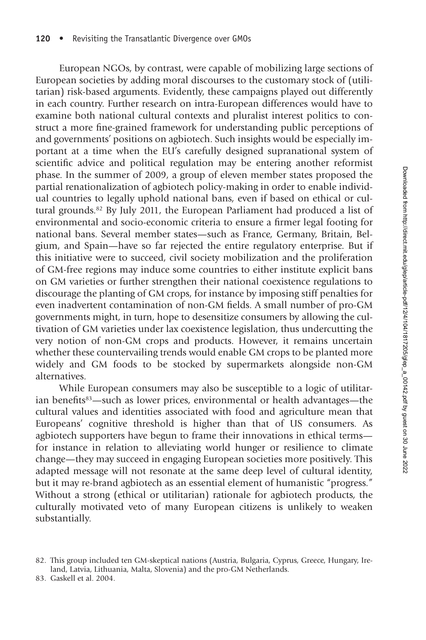European NGOs, by contrast, were capable of mobilizing large sections of European societies by adding moral discourses to the customary stock of (utilitarian) risk-based arguments. Evidently, these campaigns played out differently in each country. Further research on intra-European differences would have to examine both national cultural contexts and pluralist interest politics to construct a more fine-grained framework for understanding public perceptions of and governments' positions on agbiotech. Such insights would be especially important at a time when the EU's carefully designed supranational system of scientific advice and political regulation may be entering another reformist phase. In the summer of 2009, a group of eleven member states proposed the partial renationalization of agbiotech policy-making in order to enable individual countries to legally uphold national bans, even if based on ethical or cultural grounds.82 By July 2011, the European Parliament had produced a list of environmental and socio-economic criteria to ensure a firmer legal footing for national bans. Several member states—such as France, Germany, Britain, Belgium, and Spain—have so far rejected the entire regulatory enterprise. But if this initiative were to succeed, civil society mobilization and the proliferation of GM-free regions may induce some countries to either institute explicit bans on GM varieties or further strengthen their national coexistence regulations to discourage the planting of GM crops, for instance by imposing stiff penalties for even inadvertent contamination of non-GM fields. A small number of pro-GM governments might, in turn, hope to desensitize consumers by allowing the cultivation of GM varieties under lax coexistence legislation, thus undercutting the very notion of non-GM crops and products. However, it remains uncertain whether these countervailing trends would enable GM crops to be planted more widely and GM foods to be stocked by supermarkets alongside non-GM alternatives.

While European consumers may also be susceptible to a logic of utilitarian benefits<sup>83</sup>—such as lower prices, environmental or health advantages—the cultural values and identities associated with food and agriculture mean that Europeans' cognitive threshold is higher than that of US consumers. As agbiotech supporters have begun to frame their innovations in ethical terms for instance in relation to alleviating world hunger or resilience to climate change—they may succeed in engaging European societies more positively. This adapted message will not resonate at the same deep level of cultural identity, but it may re-brand agbiotech as an essential element of humanistic "progress." Without a strong (ethical or utilitarian) rationale for agbiotech products, the culturally motivated veto of many European citizens is unlikely to weaken substantially.

<sup>82.</sup> This group included ten GM-skeptical nations (Austria, Bulgaria, Cyprus, Greece, Hungary, Ireland, Latvia, Lithuania, Malta, Slovenia) and the pro-GM Netherlands.

<sup>83.</sup> Gaskell et al. 2004.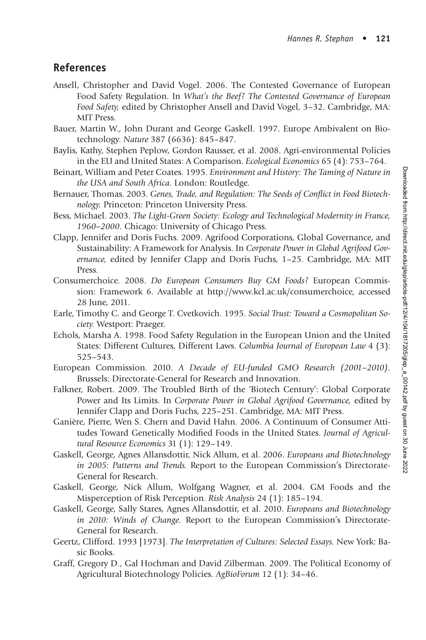# **References**

- Ansell, Christopher and David Vogel. 2006. The Contested Governance of European Food Safety Regulation. In *What's the Beef? The Contested Governance of European Food Safety,* edited by Christopher Ansell and David Vogel, 3–32. Cambridge, MA: MIT Press.
- Bauer, Martin W., John Durant and George Gaskell. 1997. Europe Ambivalent on Biotechnology. *Nature* 387 (6636): 845–847.
- Baylis, Kathy, Stephen Peplow, Gordon Rausser, et al. 2008. Agri-environmental Policies in the EU and United States: A Comparison. *Ecological Economics* 65 (4): 753–764.
- Beinart, William and Peter Coates. 1995. *Environment and History: The Taming of Nature in the USA and South Africa.* London: Routledge.
- Bernauer, Thomas. 2003. Genes, Trade, and Regulation: The Seeds of Conflict in Food Biotech*nology.* Princeton: Princeton University Press.
- Bess, Michael. 2003. *The Light-Green Society: Ecology and Technological Modernity in France, 1960–2000.* Chicago: University of Chicago Press.
- Clapp, Jennifer and Doris Fuchs. 2009. Agrifood Corporations, Global Governance, and Sustainability: A Framework for Analysis. In *Corporate Power in Global Agrifood Governance,* edited by Jennifer Clapp and Doris Fuchs, 1–25. Cambridge, MA: MIT Press.
- Consumerchoice. 2008. *Do European Consumers Buy GM Foods?* European Commission: Framework 6. Available at http://www.kcl.ac.uk/consumerchoice, accessed 28 June, 2011.
- Earle, Timothy C. and George T. Cvetkovich. 1995. *Social Trust: Toward a Cosmopolitan Society.* Westport: Praeger.
- Echols, Marsha A. 1998. Food Safety Regulation in the European Union and the United States: Different Cultures, Different Laws. *Columbia Journal of European Law* 4 (3): 525–543.
- European Commission. 2010. *A Decade of EU-funded GMO Research (2001–2010).* Brussels: Directorate-General for Research and Innovation.
- Falkner, Robert. 2009. The Troubled Birth of the 'Biotech Century': Global Corporate Power and Its Limits. In *Corporate Power in Global Agrifood Governance,* edited by Jennifer Clapp and Doris Fuchs, 225–251. Cambridge, MA: MIT Press.
- Ganière, Pierre, Wen S. Chern and David Hahn. 2006. A Continuum of Consumer Attitudes Toward Genetically Modified Foods in the United States. *Journal of Agricultural Resource Economics* 31 (1): 129–149.
- Gaskell, George, Agnes Allansdottir, Nick Allum, et al. 2006. *Europeans and Biotechnology in 2005: Patterns and Trends.* Report to the European Commission's Directorate-General for Research.
- Gaskell, George, Nick Allum, Wolfgang Wagner, et al. 2004. GM Foods and the Misperception of Risk Perception. *Risk Analysis* 24 (1): 185–194.
- Gaskell, George, Sally Stares, Agnes Allansdottir, et al. 2010. *Europeans and Biotechnology in 2010: Winds of Change.* Report to the European Commission's Directorate-General for Research.
- Geertz, Clifford. 1993 [1973]. *The Interpretation of Cultures: Selected Essays.* New York: Basic Books.
- Graff, Gregory D., Gal Hochman and David Zilberman. 2009. The Political Economy of Agricultural Biotechnology Policies. *AgBioForum* 12 (1): 34–46.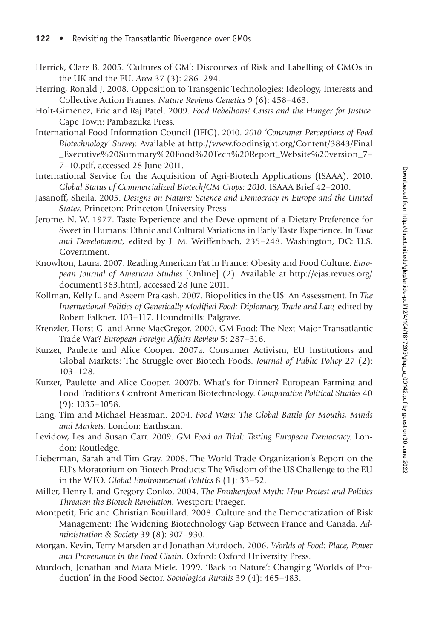- Herrick, Clare B. 2005. 'Cultures of GM': Discourses of Risk and Labelling of GMOs in the UK and the EU. *Area* 37 (3): 286–294.
- Herring, Ronald J. 2008. Opposition to Transgenic Technologies: Ideology, Interests and Collective Action Frames. *Nature Reviews Genetics* 9 (6): 458–463.
- Holt-Giménez, Eric and Raj Patel. 2009. *Food Rebellions! Crisis and the Hunger for Justice.* Cape Town: Pambazuka Press.
- International Food Information Council (IFIC). 2010. *2010 'Consumer Perceptions of Food Biotechnology' Survey.* Available at http://www.foodinsight.org/Content/3843/Final \_Executive%20Summary%20Food%20Tech%20Report\_Website%20version\_7– 7–10.pdf, accessed 28 June 2011.
- International Service for the Acquisition of Agri-Biotech Applications (ISAAA). 2010. *Global Status of Commercialized Biotech/GM Crops: 2010.* ISAAA Brief 42–2010.
- Jasanoff, Sheila. 2005. *Designs on Nature: Science and Democracy in Europe and the United States.* Princeton: Princeton University Press.
- Jerome, N. W. 1977. Taste Experience and the Development of a Dietary Preference for Sweet in Humans: Ethnic and Cultural Variations in Early Taste Experience. In *Taste and Development,* edited by J. M. Weiffenbach, 235–248. Washington, DC: U.S. Government.
- Knowlton, Laura. 2007. Reading American Fat in France: Obesity and Food Culture. *European Journal of American Studies* [Online] (2). Available at http://ejas.revues.org/ document1363.html, accessed 28 June 2011.
- Kollman, Kelly L. and Aseem Prakash. 2007. Biopolitics in the US: An Assessment. In *The* International Politics of Genetically Modified Food: Diplomacy, Trade and Law, edited by Robert Falkner, 103–117. Houndmills: Palgrave.
- Krenzler, Horst G. and Anne MacGregor. 2000. GM Food: The Next Major Transatlantic Trade War? *European Foreign Affairs Review* 5: 287–316.
- Kurzer, Paulette and Alice Cooper. 2007a. Consumer Activism, EU Institutions and Global Markets: The Struggle over Biotech Foods. *Journal of Public Policy* 27 (2): 103–128.
- Kurzer, Paulette and Alice Cooper. 2007b. What's for Dinner? European Farming and Food Traditions Confront American Biotechnology. *Comparative Political Studies* 40 (9): 1035–1058.
- Lang, Tim and Michael Heasman. 2004. *Food Wars: The Global Battle for Mouths, Minds and Markets.* London: Earthscan.
- Levidow, Les and Susan Carr. 2009. *GM Food on Trial: Testing European Democracy.* London: Routledge.
- Lieberman, Sarah and Tim Gray. 2008. The World Trade Organization's Report on the EU's Moratorium on Biotech Products: The Wisdom of the US Challenge to the EU in the WTO. *Global Environmental Politics* 8 (1): 33–52.
- Miller, Henry I. and Gregory Conko. 2004. *The Frankenfood Myth: How Protest and Politics Threaten the Biotech Revolution.* Westport: Praeger.
- Montpetit, Eric and Christian Rouillard. 2008. Culture and the Democratization of Risk Management: The Widening Biotechnology Gap Between France and Canada. *Administration & Society* 39 (8): 907–930.
- Morgan, Kevin, Terry Marsden and Jonathan Murdoch. 2006. *Worlds of Food: Place, Power and Provenance in the Food Chain.* Oxford: Oxford University Press.
- Murdoch, Jonathan and Mara Miele. 1999. 'Back to Nature': Changing 'Worlds of Production' in the Food Sector. *Sociologica Ruralis* 39 (4): 465–483.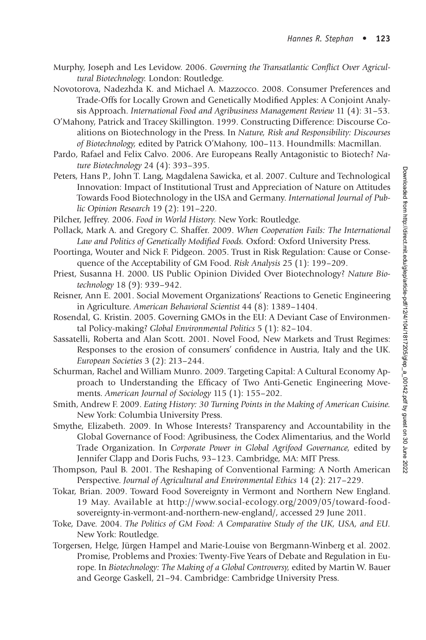- Murphy, Joseph and Les Levidow. 2006. Governing the Transatlantic Conflict Over Agricul*tural Biotechnology.* London: Routledge.
- Novotorova, Nadezhda K. and Michael A. Mazzocco. 2008. Consumer Preferences and Trade-Offs for Locally Grown and Genetically Modified Apples: A Conjoint Analysis Approach. *International Food and Agribusiness Management Review* 11 (4): 31–53.
- O'Mahony, Patrick and Tracey Skillington. 1999. Constructing Difference: Discourse Coalitions on Biotechnology in the Press. In *Nature, Risk and Responsibility: Discourses of Biotechnology,* edited by Patrick O'Mahony, 100–113. Houndmills: Macmillan.
- Pardo, Rafael and Felix Calvo. 2006. Are Europeans Really Antagonistic to Biotech? *Nature Biotechnology* 24 (4): 393–395.
- Peters, Hans P., John T. Lang, Magdalena Sawicka, et al. 2007. Culture and Technological Innovation: Impact of Institutional Trust and Appreciation of Nature on Attitudes Towards Food Biotechnology in the USA and Germany. *International Journal of Public Opinion Research* 19 (2): 191–220.
- Pilcher, Jeffrey. 2006. *Food in World History.* New York: Routledge.
- Pollack, Mark A. and Gregory C. Shaffer. 2009. *When Cooperation Fails: The International* Law and Politics of Genetically Modified Foods. Oxford: Oxford University Press.
- Poortinga, Wouter and Nick F. Pidgeon. 2005. Trust in Risk Regulation: Cause or Consequence of the Acceptability of GM Food. *Risk Analysis* 25 (1): 199–209.
- Priest, Susanna H. 2000. US Public Opinion Divided Over Biotechnology? *Nature Biotechnology* 18 (9): 939–942.
- Reisner, Ann E. 2001. Social Movement Organizations' Reactions to Genetic Engineering in Agriculture. *American Behavioral Scientist* 44 (8): 1389–1404.
- Rosendal, G. Kristin. 2005. Governing GMOs in the EU: A Deviant Case of Environmental Policy-making? *Global Environmental Politics* 5 (1): 82–104.
- Sassatelli, Roberta and Alan Scott. 2001. Novel Food, New Markets and Trust Regimes: Responses to the erosion of consumers' confidence in Austria, Italy and the UK. *European Societies* 3 (2): 213–244.
- Schurman, Rachel and William Munro. 2009. Targeting Capital: A Cultural Economy Approach to Understanding the Efficacy of Two Anti-Genetic Engineering Movements. *American Journal of Sociology* 115 (1): 155–202.
- Smith, Andrew F. 2009. *Eating History: 30 Turning Points in the Making of American Cuisine.* New York: Columbia University Press.
- Smythe, Elizabeth. 2009. In Whose Interests? Transparency and Accountability in the Global Governance of Food: Agribusiness, the Codex Alimentarius, and the World Trade Organization. In *Corporate Power in Global Agrifood Governance,* edited by Jennifer Clapp and Doris Fuchs, 93–123. Cambridge, MA: MIT Press.
- Thompson, Paul B. 2001. The Reshaping of Conventional Farming: A North American Perspective. *Journal of Agricultural and Environmental Ethics* 14 (2): 217–229.
- Tokar, Brian. 2009. Toward Food Sovereignty in Vermont and Northern New England. 19 May. Available at http://www.social-ecology.org/2009/05/toward-foodsovereignty-in-vermont-and-northern-new-england/, accessed 29 June 2011.
- Toke, Dave. 2004. *The Politics of GM Food: A Comparative Study of the UK, USA, and EU.* New York: Routledge.
- Torgersen, Helge, Jürgen Hampel and Marie-Louise von Bergmann-Winberg et al. 2002. Promise, Problems and Proxies: Twenty-Five Years of Debate and Regulation in Europe. In *Biotechnology: The Making of a Global Controversy,* edited by Martin W. Bauer and George Gaskell, 21–94. Cambridge: Cambridge University Press.